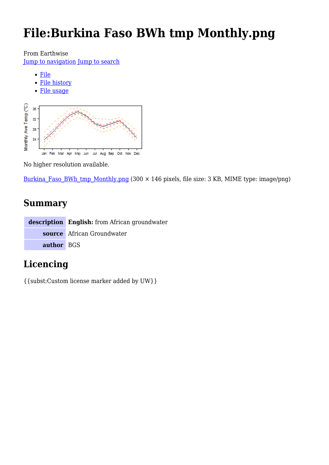# **File:Burkina Faso BWh tmp Monthly.png**

From Earthwise

[Jump to navigation](#page--1-0) [Jump to search](#page--1-0)

- [File](#page--1-0)
- [File history](#page--1-0)
- [File usage](#page--1-0)



No higher resolution available.

Burkina Faso BWh tmp Monthly.png (300  $\times$  146 pixels, file size: 3 KB, MIME type: image/png)

# **Summary**

|            | <b>description</b> English: from African groundwater |
|------------|------------------------------------------------------|
|            | source African Groundwater                           |
| author BGS |                                                      |

# **Licencing**

{{subst:Custom license marker added by UW}}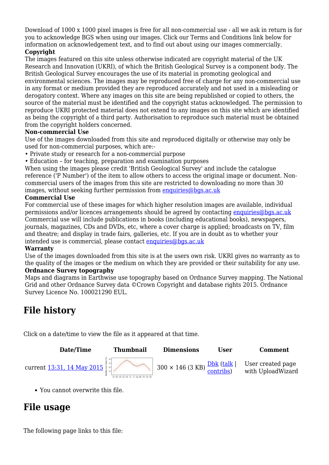Download of 1000 x 1000 pixel images is free for all non-commercial use - all we ask in return is for you to acknowledge BGS when using our images. Click our Terms and Conditions link below for information on acknowledgement text, and to find out about using our images commercially.

#### **Copyright**

The images featured on this site unless otherwise indicated are copyright material of the UK Research and Innovation (UKRI), of which the British Geological Survey is a component body. The British Geological Survey encourages the use of its material in promoting geological and environmental sciences. The images may be reproduced free of charge for any non-commercial use in any format or medium provided they are reproduced accurately and not used in a misleading or derogatory context. Where any images on this site are being republished or copied to others, the source of the material must be identified and the copyright status acknowledged. The permission to reproduce UKRI protected material does not extend to any images on this site which are identified as being the copyright of a third party. Authorisation to reproduce such material must be obtained from the copyright holders concerned.

#### **Non-commercial Use**

Use of the images downloaded from this site and reproduced digitally or otherwise may only be used for non-commercial purposes, which are:-

- Private study or research for a non-commercial purpose
- Education for teaching, preparation and examination purposes

When using the images please credit 'British Geological Survey' and include the catalogue reference ('P Number') of the item to allow others to access the original image or document. Noncommercial users of the images from this site are restricted to downloading no more than 30 images, without seeking further permission from [enquiries@bgs.ac.uk](mailto:enquiries@bgs.ac.uk)

#### **Commercial Use**

For commercial use of these images for which higher resolution images are available, individual permissions and/or licences arrangements should be agreed by contacting [enquiries@bgs.ac.uk](mailto:enquiries@bgs.ac.uk) Commercial use will include publications in books (including educational books), newspapers, journals, magazines, CDs and DVDs, etc, where a cover charge is applied; broadcasts on TV, film and theatre; and display in trade fairs, galleries, etc. If you are in doubt as to whether your intended use is commercial, please contact [enquiries@bgs.ac.uk](mailto:enquiries@bgs.ac.uk)

#### **Warranty**

Use of the images downloaded from this site is at the users own risk. UKRI gives no warranty as to the quality of the images or the medium on which they are provided or their suitability for any use. **Ordnance Survey topography**

Maps and diagrams in Earthwise use topography based on Ordnance Survey mapping. The National Grid and other Ordnance Survey data ©Crown Copyright and database rights 2015. Ordnance Survey Licence No. 100021290 EUL.

# **File history**

Click on a date/time to view the file as it appeared at that time.



You cannot overwrite this file.

# **File usage**

The following page links to this file: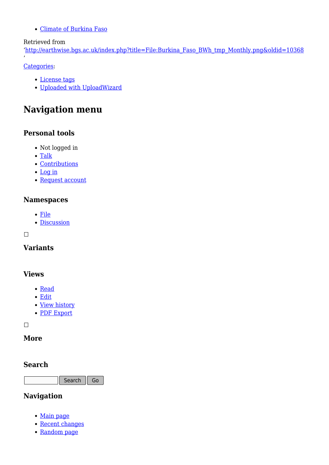[Climate of Burkina Faso](http://earthwise.bgs.ac.uk/index.php/Climate_of_Burkina_Faso)

#### Retrieved from

'[http://earthwise.bgs.ac.uk/index.php?title=File:Burkina\\_Faso\\_BWh\\_tmp\\_Monthly.png&oldid=10368](http://earthwise.bgs.ac.uk/index.php?title=File:Burkina_Faso_BWh_tmp_Monthly.png&oldid=10368)

[Categories:](http://earthwise.bgs.ac.uk/index.php/Special:Categories)

'

- [License tags](http://earthwise.bgs.ac.uk/index.php/Category:License_tags)
- [Uploaded with UploadWizard](http://earthwise.bgs.ac.uk/index.php/Category:Uploaded_with_UploadWizard)

# **Navigation menu**

### **Personal tools**

- Not logged in
- [Talk](http://earthwise.bgs.ac.uk/index.php/Special:MyTalk)
- [Contributions](http://earthwise.bgs.ac.uk/index.php/Special:MyContributions)
- [Log in](http://earthwise.bgs.ac.uk/index.php?title=Special:UserLogin&returnto=File%3ABurkina+Faso+BWh+tmp+Monthly.png&returntoquery=action%3Dmpdf)
- [Request account](http://earthwise.bgs.ac.uk/index.php/Special:RequestAccount)

### **Namespaces**

- [File](http://earthwise.bgs.ac.uk/index.php/File:Burkina_Faso_BWh_tmp_Monthly.png)
- [Discussion](http://earthwise.bgs.ac.uk/index.php?title=File_talk:Burkina_Faso_BWh_tmp_Monthly.png&action=edit&redlink=1)

 $\overline{\phantom{a}}$ 

### **Variants**

### **Views**

- [Read](http://earthwise.bgs.ac.uk/index.php/File:Burkina_Faso_BWh_tmp_Monthly.png)
- [Edit](http://earthwise.bgs.ac.uk/index.php?title=File:Burkina_Faso_BWh_tmp_Monthly.png&action=edit)
- [View history](http://earthwise.bgs.ac.uk/index.php?title=File:Burkina_Faso_BWh_tmp_Monthly.png&action=history)
- [PDF Export](http://earthwise.bgs.ac.uk/index.php?title=File:Burkina_Faso_BWh_tmp_Monthly.png&action=mpdf)

 $\Box$ 

### **More**

### **Search**

Search  $\sqrt{\phantom{a}}$  Go

### **Navigation**

- [Main page](http://earthwise.bgs.ac.uk/index.php/Main_Page)
- [Recent changes](http://earthwise.bgs.ac.uk/index.php/Special:RecentChanges)
- [Random page](http://earthwise.bgs.ac.uk/index.php/Special:Random)